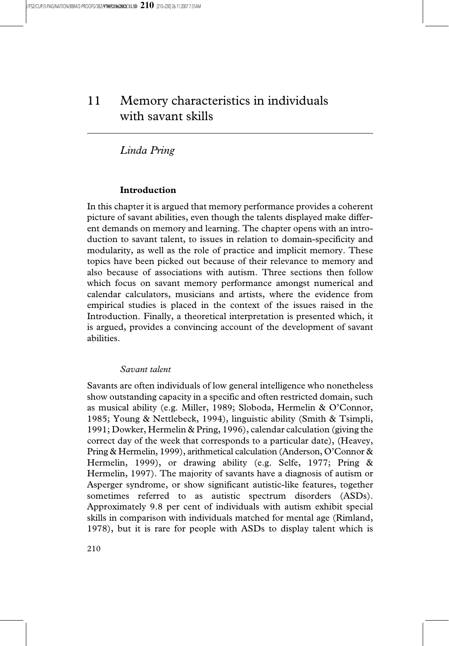# 11 Memory characteristics in individuals with savant skills

# Linda Pring

# Introduction

In this chapter it is argued that memory performance provides a coherent picture of savant abilities, even though the talents displayed make different demands on memory and learning. The chapter opens with an introduction to savant talent, to issues in relation to domain-specificity and modularity, as well as the role of practice and implicit memory. These topics have been picked out because of their relevance to memory and also because of associations with autism. Three sections then follow which focus on savant memory performance amongst numerical and calendar calculators, musicians and artists, where the evidence from empirical studies is placed in the context of the issues raised in the Introduction. Finally, a theoretical interpretation is presented which, it is argued, provides a convincing account of the development of savant abilities.

# Savant talent

Savants are often individuals of low general intelligence who nonetheless show outstanding capacity in a specific and often restricted domain, such as musical ability (e.g. Miller, 1989; Sloboda, Hermelin & O'Connor, 1985; Young & Nettlebeck, 1994), linguistic ability (Smith & Tsimpli, 1991; Dowker, Hermelin & Pring, 1996), calendar calculation (giving the correct day of the week that corresponds to a particular date), (Heavey, Pring & Hermelin, 1999), arithmetical calculation (Anderson, O'Connor & Hermelin, 1999), or drawing ability (e.g. Selfe, 1977; Pring & Hermelin, 1997). The majority of savants have a diagnosis of autism or Asperger syndrome, or show significant autistic-like features, together sometimes referred to as autistic spectrum disorders (ASDs). Approximately 9.8 per cent of individuals with autism exhibit special skills in comparison with individuals matched for mental age (Rimland, 1978), but it is rare for people with ASDs to display talent which is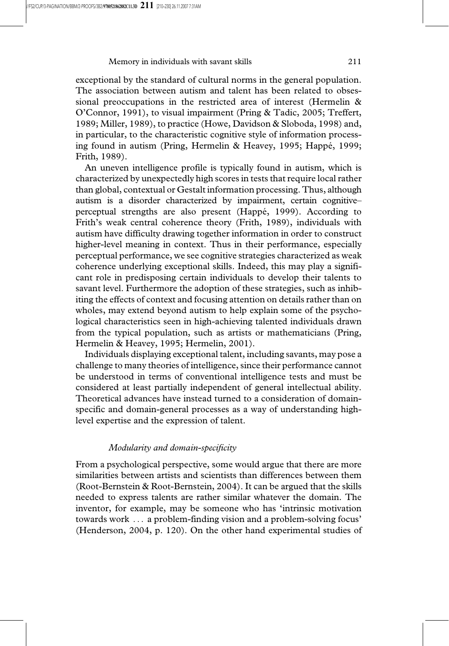exceptional by the standard of cultural norms in the general population. The association between autism and talent has been related to obsessional preoccupations in the restricted area of interest (Hermelin & O'Connor, 1991), to visual impairment (Pring & Tadic, 2005; Treffert, 1989; Miller, 1989), to practice (Howe, Davidson & Sloboda, 1998) and, in particular, to the characteristic cognitive style of information processing found in autism (Pring, Hermelin & Heavey, 1995; Happé, 1999; Frith, 1989).

An uneven intelligence profile is typically found in autism, which is characterized by unexpectedly high scores in tests that require local rather than global, contextual or Gestalt information processing. Thus, although autism is a disorder characterized by impairment, certain cognitive– perceptual strengths are also present (Happé, 1999). According to Frith's weak central coherence theory (Frith, 1989), individuals with autism have difficulty drawing together information in order to construct higher-level meaning in context. Thus in their performance, especially perceptual performance, we see cognitive strategies characterized as weak coherence underlying exceptional skills. Indeed, this may play a significant role in predisposing certain individuals to develop their talents to savant level. Furthermore the adoption of these strategies, such as inhibiting the effects of context and focusing attention on details rather than on wholes, may extend beyond autism to help explain some of the psychological characteristics seen in high-achieving talented individuals drawn from the typical population, such as artists or mathematicians (Pring, Hermelin & Heavey, 1995; Hermelin, 2001).

Individuals displaying exceptional talent, including savants, may pose a challenge to many theories of intelligence, since their performance cannot be understood in terms of conventional intelligence tests and must be considered at least partially independent of general intellectual ability. Theoretical advances have instead turned to a consideration of domainspecific and domain-general processes as a way of understanding highlevel expertise and the expression of talent.

# Modularity and domain-specificity

From a psychological perspective, some would argue that there are more similarities between artists and scientists than differences between them (Root-Bernstein & Root-Bernstein, 2004). It can be argued that the skills needed to express talents are rather similar whatever the domain. The inventor, for example, may be someone who has 'intrinsic motivation towards work ... a problem-finding vision and a problem-solving focus' (Henderson, 2004, p. 120). On the other hand experimental studies of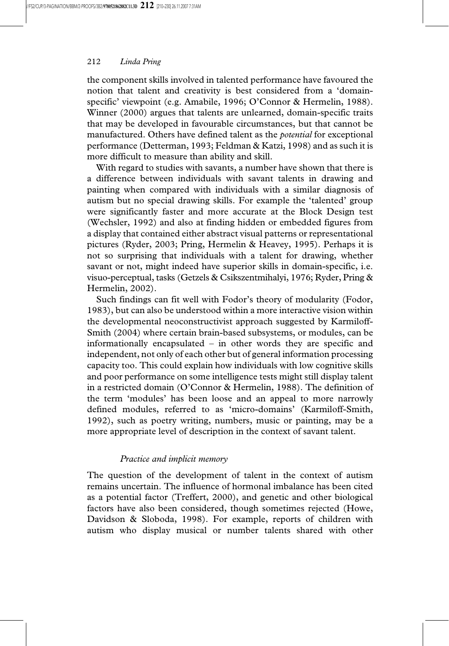the component skills involved in talented performance have favoured the notion that talent and creativity is best considered from a 'domainspecific' viewpoint (e.g. Amabile, 1996; O'Connor & Hermelin, 1988). Winner (2000) argues that talents are unlearned, domain-specific traits that may be developed in favourable circumstances, but that cannot be manufactured. Others have defined talent as the potential for exceptional performance (Detterman, 1993; Feldman & Katzi, 1998) and as such it is more difficult to measure than ability and skill.

With regard to studies with savants, a number have shown that there is a difference between individuals with savant talents in drawing and painting when compared with individuals with a similar diagnosis of autism but no special drawing skills. For example the 'talented' group were significantly faster and more accurate at the Block Design test (Wechsler, 1992) and also at finding hidden or embedded figures from a display that contained either abstract visual patterns or representational pictures (Ryder, 2003; Pring, Hermelin & Heavey, 1995). Perhaps it is not so surprising that individuals with a talent for drawing, whether savant or not, might indeed have superior skills in domain-specific, i.e. visuo-perceptual, tasks (Getzels & Csikszentmihalyi, 1976; Ryder, Pring & Hermelin, 2002).

Such findings can fit well with Fodor's theory of modularity (Fodor, 1983), but can also be understood within a more interactive vision within the developmental neoconstructivist approach suggested by Karmiloff-Smith (2004) where certain brain-based subsystems, or modules, can be informationally encapsulated – in other words they are specific and independent, not only of each other but of general information processing capacity too. This could explain how individuals with low cognitive skills and poor performance on some intelligence tests might still display talent in a restricted domain (O'Connor & Hermelin, 1988). The definition of the term 'modules' has been loose and an appeal to more narrowly defined modules, referred to as 'micro-domains' (Karmiloff-Smith, 1992), such as poetry writing, numbers, music or painting, may be a more appropriate level of description in the context of savant talent.

# Practice and implicit memory

The question of the development of talent in the context of autism remains uncertain. The influence of hormonal imbalance has been cited as a potential factor (Treffert, 2000), and genetic and other biological factors have also been considered, though sometimes rejected (Howe, Davidson & Sloboda, 1998). For example, reports of children with autism who display musical or number talents shared with other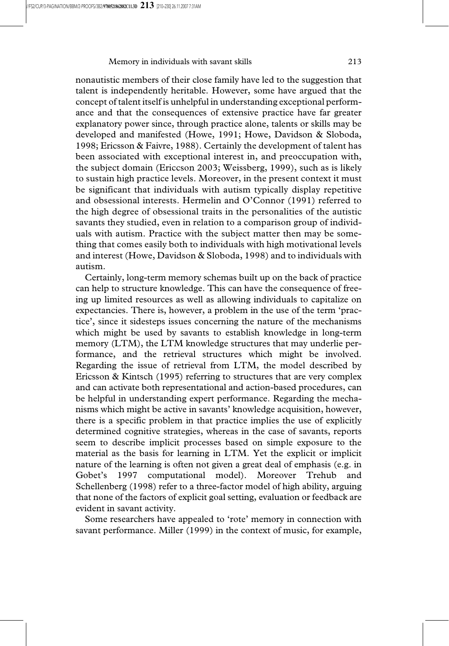nonautistic members of their close family have led to the suggestion that talent is independently heritable. However, some have argued that the concept of talent itself is unhelpful in understanding exceptional performance and that the consequences of extensive practice have far greater explanatory power since, through practice alone, talents or skills may be developed and manifested (Howe, 1991; Howe, Davidson & Sloboda, 1998; Ericsson & Faivre, 1988). Certainly the development of talent has been associated with exceptional interest in, and preoccupation with, the subject domain (Ericcson 2003; Weissberg, 1999), such as is likely to sustain high practice levels. Moreover, in the present context it must be significant that individuals with autism typically display repetitive and obsessional interests. Hermelin and O'Connor (1991) referred to the high degree of obsessional traits in the personalities of the autistic savants they studied, even in relation to a comparison group of individuals with autism. Practice with the subject matter then may be something that comes easily both to individuals with high motivational levels and interest (Howe, Davidson & Sloboda, 1998) and to individuals with autism.

Certainly, long-term memory schemas built up on the back of practice can help to structure knowledge. This can have the consequence of freeing up limited resources as well as allowing individuals to capitalize on expectancies. There is, however, a problem in the use of the term 'practice', since it sidesteps issues concerning the nature of the mechanisms which might be used by savants to establish knowledge in long-term memory (LTM), the LTM knowledge structures that may underlie performance, and the retrieval structures which might be involved. Regarding the issue of retrieval from LTM, the model described by Ericsson & Kintsch (1995) referring to structures that are very complex and can activate both representational and action-based procedures, can be helpful in understanding expert performance. Regarding the mechanisms which might be active in savants' knowledge acquisition, however, there is a specific problem in that practice implies the use of explicitly determined cognitive strategies, whereas in the case of savants, reports seem to describe implicit processes based on simple exposure to the material as the basis for learning in LTM. Yet the explicit or implicit nature of the learning is often not given a great deal of emphasis (e.g. in Gobet's 1997 computational model). Moreover Trehub and Schellenberg (1998) refer to a three-factor model of high ability, arguing that none of the factors of explicit goal setting, evaluation or feedback are evident in savant activity.

Some researchers have appealed to 'rote' memory in connection with savant performance. Miller (1999) in the context of music, for example,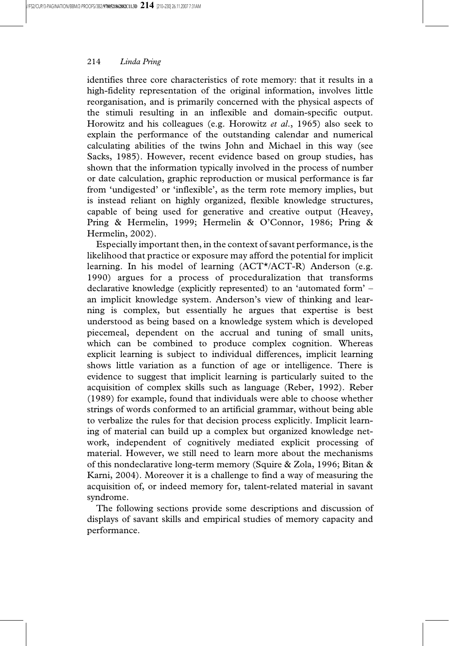identifies three core characteristics of rote memory: that it results in a high-fidelity representation of the original information, involves little reorganisation, and is primarily concerned with the physical aspects of the stimuli resulting in an inflexible and domain-specific output. Horowitz and his colleagues (e.g. Horowitz et al., 1965) also seek to explain the performance of the outstanding calendar and numerical calculating abilities of the twins John and Michael in this way (see Sacks, 1985). However, recent evidence based on group studies, has shown that the information typically involved in the process of number or date calculation, graphic reproduction or musical performance is far from 'undigested' or 'inflexible', as the term rote memory implies, but is instead reliant on highly organized, flexible knowledge structures, capable of being used for generative and creative output (Heavey, Pring & Hermelin, 1999; Hermelin & O'Connor, 1986; Pring & Hermelin, 2002).

Especially important then, in the context of savant performance, is the likelihood that practice or exposure may afford the potential for implicit learning. In his model of learning (ACT\*/ACT-R) Anderson (e.g. 1990) argues for a process of proceduralization that transforms declarative knowledge (explicitly represented) to an 'automated form' – an implicit knowledge system. Anderson's view of thinking and learning is complex, but essentially he argues that expertise is best understood as being based on a knowledge system which is developed piecemeal, dependent on the accrual and tuning of small units, which can be combined to produce complex cognition. Whereas explicit learning is subject to individual differences, implicit learning shows little variation as a function of age or intelligence. There is evidence to suggest that implicit learning is particularly suited to the acquisition of complex skills such as language (Reber, 1992). Reber (1989) for example, found that individuals were able to choose whether strings of words conformed to an artificial grammar, without being able to verbalize the rules for that decision process explicitly. Implicit learning of material can build up a complex but organized knowledge network, independent of cognitively mediated explicit processing of material. However, we still need to learn more about the mechanisms of this nondeclarative long-term memory (Squire & Zola, 1996; Bitan & Karni, 2004). Moreover it is a challenge to find a way of measuring the acquisition of, or indeed memory for, talent-related material in savant syndrome.

The following sections provide some descriptions and discussion of displays of savant skills and empirical studies of memory capacity and performance.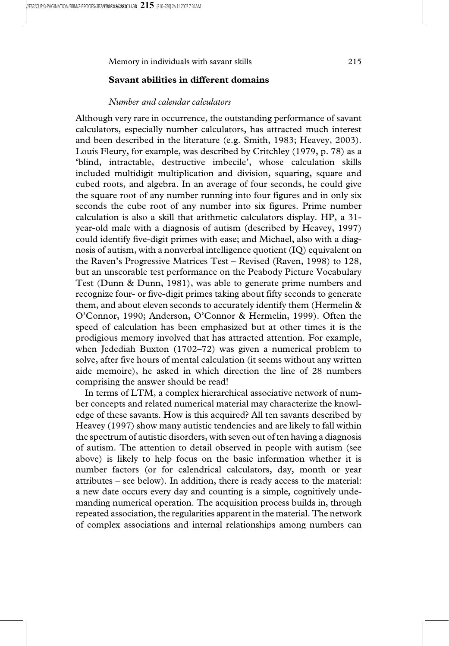# Savant abilities in different domains

# Number and calendar calculators

Although very rare in occurrence, the outstanding performance of savant calculators, especially number calculators, has attracted much interest and been described in the literature (e.g. Smith, 1983; Heavey, 2003). Louis Fleury, for example, was described by Critchley (1979, p. 78) as a 'blind, intractable, destructive imbecile', whose calculation skills included multidigit multiplication and division, squaring, square and cubed roots, and algebra. In an average of four seconds, he could give the square root of any number running into four figures and in only six seconds the cube root of any number into six figures. Prime number calculation is also a skill that arithmetic calculators display. HP, a 31 year-old male with a diagnosis of autism (described by Heavey, 1997) could identify five-digit primes with ease; and Michael, also with a diagnosis of autism, with a nonverbal intelligence quotient (IQ) equivalent on the Raven's Progressive Matrices Test – Revised (Raven, 1998) to 128, but an unscorable test performance on the Peabody Picture Vocabulary Test (Dunn & Dunn, 1981), was able to generate prime numbers and recognize four- or five-digit primes taking about fifty seconds to generate them, and about eleven seconds to accurately identify them (Hermelin & O'Connor, 1990; Anderson, O'Connor & Hermelin, 1999). Often the speed of calculation has been emphasized but at other times it is the prodigious memory involved that has attracted attention. For example, when Jedediah Buxton (1702–72) was given a numerical problem to solve, after five hours of mental calculation (it seems without any written aide memoire), he asked in which direction the line of 28 numbers comprising the answer should be read!

In terms of LTM, a complex hierarchical associative network of number concepts and related numerical material may characterize the knowledge of these savants. How is this acquired? All ten savants described by Heavey (1997) show many autistic tendencies and are likely to fall within the spectrum of autistic disorders, with seven out of ten having a diagnosis of autism. The attention to detail observed in people with autism (see above) is likely to help focus on the basic information whether it is number factors (or for calendrical calculators, day, month or year attributes – see below). In addition, there is ready access to the material: a new date occurs every day and counting is a simple, cognitively undemanding numerical operation. The acquisition process builds in, through repeated association, the regularities apparent in the material. The network of complex associations and internal relationships among numbers can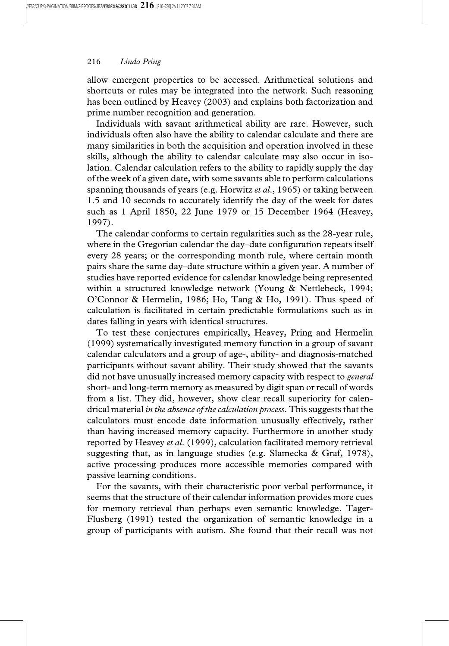allow emergent properties to be accessed. Arithmetical solutions and shortcuts or rules may be integrated into the network. Such reasoning has been outlined by Heavey (2003) and explains both factorization and prime number recognition and generation.

Individuals with savant arithmetical ability are rare. However, such individuals often also have the ability to calendar calculate and there are many similarities in both the acquisition and operation involved in these skills, although the ability to calendar calculate may also occur in isolation. Calendar calculation refers to the ability to rapidly supply the day of the week of a given date, with some savants able to perform calculations spanning thousands of years (e.g. Horwitz et al., 1965) or taking between 1.5 and 10 seconds to accurately identify the day of the week for dates such as 1 April 1850, 22 June 1979 or 15 December 1964 (Heavey, 1997).

The calendar conforms to certain regularities such as the 28-year rule, where in the Gregorian calendar the day–date configuration repeats itself every 28 years; or the corresponding month rule, where certain month pairs share the same day–date structure within a given year. A number of studies have reported evidence for calendar knowledge being represented within a structured knowledge network (Young & Nettlebeck, 1994; O'Connor & Hermelin, 1986; Ho, Tang & Ho, 1991). Thus speed of calculation is facilitated in certain predictable formulations such as in dates falling in years with identical structures.

To test these conjectures empirically, Heavey, Pring and Hermelin (1999) systematically investigated memory function in a group of savant calendar calculators and a group of age-, ability- and diagnosis-matched participants without savant ability. Their study showed that the savants did not have unusually increased memory capacity with respect to *general* short- and long-term memory as measured by digit span or recall of words from a list. They did, however, show clear recall superiority for calendrical material in the absence of the calculation process. This suggests that the calculators must encode date information unusually effectively, rather than having increased memory capacity. Furthermore in another study reported by Heavey et al. (1999), calculation facilitated memory retrieval suggesting that, as in language studies (e.g. Slamecka & Graf, 1978), active processing produces more accessible memories compared with passive learning conditions.

For the savants, with their characteristic poor verbal performance, it seems that the structure of their calendar information provides more cues for memory retrieval than perhaps even semantic knowledge. Tager-Flusberg (1991) tested the organization of semantic knowledge in a group of participants with autism. She found that their recall was not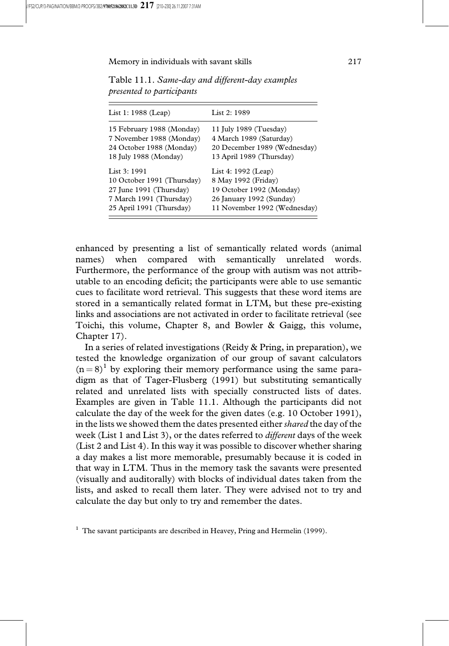| List 1: 1988 (Leap)        | List 2: 1989                 |
|----------------------------|------------------------------|
| 15 February 1988 (Monday)  | 11 July 1989 (Tuesday)       |
| 7 November 1988 (Monday)   | 4 March 1989 (Saturday)      |
| 24 October 1988 (Monday)   | 20 December 1989 (Wednesday) |
| 18 July 1988 (Monday)      | 13 April 1989 (Thursday)     |
| List 3: 1991               | List 4: 1992 (Leap)          |
| 10 October 1991 (Thursday) | 8 May 1992 (Friday)          |
| 27 June 1991 (Thursday)    | 19 October 1992 (Monday)     |
| 7 March 1991 (Thursday)    | 26 January 1992 (Sunday)     |
| 25 April 1991 (Thursday)   | 11 November 1992 (Wednesday) |

Table 11.1. Same-day and different-day examples presented to participants

enhanced by presenting a list of semantically related words (animal names) when compared with semantically unrelated words. Furthermore, the performance of the group with autism was not attributable to an encoding deficit; the participants were able to use semantic cues to facilitate word retrieval. This suggests that these word items are stored in a semantically related format in LTM, but these pre-existing links and associations are not activated in order to facilitate retrieval (see Toichi, this volume, Chapter 8, and Bowler & Gaigg, this volume, Chapter 17).

In a series of related investigations (Reidy & Pring, in preparation), we tested the knowledge organization of our group of savant calculators  $(n = 8)^1$  by exploring their memory performance using the same paradigm as that of Tager-Flusberg (1991) but substituting semantically related and unrelated lists with specially constructed lists of dates. Examples are given in Table 11.1. Although the participants did not calculate the day of the week for the given dates (e.g. 10 October 1991), in the lists we showed them the dates presented either shared the day of the week (List 1 and List 3), or the dates referred to different days of the week (List 2 and List 4). In this way it was possible to discover whether sharing a day makes a list more memorable, presumably because it is coded in that way in LTM. Thus in the memory task the savants were presented (visually and auditorally) with blocks of individual dates taken from the lists, and asked to recall them later. They were advised not to try and calculate the day but only to try and remember the dates.

<sup>&</sup>lt;sup>1</sup> The savant participants are described in Heavey, Pring and Hermelin (1999).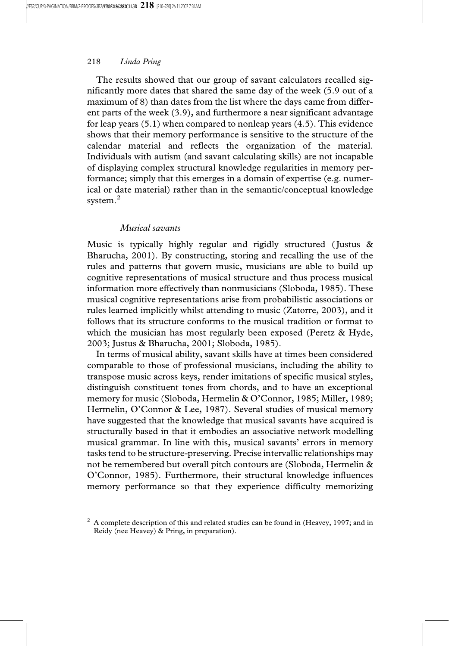The results showed that our group of savant calculators recalled significantly more dates that shared the same day of the week (5.9 out of a maximum of 8) than dates from the list where the days came from different parts of the week (3.9), and furthermore a near significant advantage for leap years (5.1) when compared to nonleap years (4.5). This evidence shows that their memory performance is sensitive to the structure of the calendar material and reflects the organization of the material. Individuals with autism (and savant calculating skills) are not incapable of displaying complex structural knowledge regularities in memory performance; simply that this emerges in a domain of expertise (e.g. numerical or date material) rather than in the semantic/conceptual knowledge system.<sup>2</sup>

#### Musical savants

Music is typically highly regular and rigidly structured ( Justus & Bharucha, 2001). By constructing, storing and recalling the use of the rules and patterns that govern music, musicians are able to build up cognitive representations of musical structure and thus process musical information more effectively than nonmusicians (Sloboda, 1985). These musical cognitive representations arise from probabilistic associations or rules learned implicitly whilst attending to music (Zatorre, 2003), and it follows that its structure conforms to the musical tradition or format to which the musician has most regularly been exposed (Peretz & Hyde, 2003; Justus & Bharucha, 2001; Sloboda, 1985).

In terms of musical ability, savant skills have at times been considered comparable to those of professional musicians, including the ability to transpose music across keys, render imitations of specific musical styles, distinguish constituent tones from chords, and to have an exceptional memory for music (Sloboda, Hermelin & O'Connor, 1985; Miller, 1989; Hermelin, O'Connor & Lee, 1987). Several studies of musical memory have suggested that the knowledge that musical savants have acquired is structurally based in that it embodies an associative network modelling musical grammar. In line with this, musical savants' errors in memory tasks tend to be structure-preserving. Precise intervallic relationships may not be remembered but overall pitch contours are (Sloboda, Hermelin & O'Connor, 1985). Furthermore, their structural knowledge influences memory performance so that they experience difficulty memorizing

 $2\,$  A complete description of this and related studies can be found in (Heavey, 1997; and in Reidy (nee Heavey) & Pring, in preparation).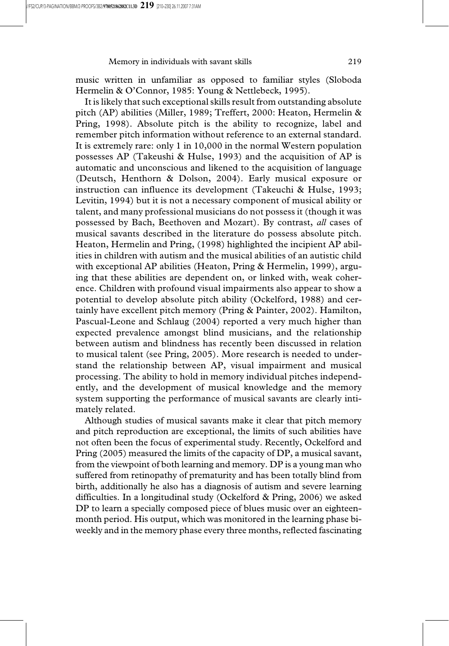music written in unfamiliar as opposed to familiar styles (Sloboda Hermelin & O'Connor, 1985: Young & Nettlebeck, 1995).

It is likely that such exceptional skills result from outstanding absolute pitch (AP) abilities (Miller, 1989; Treffert, 2000: Heaton, Hermelin & Pring, 1998). Absolute pitch is the ability to recognize, label and remember pitch information without reference to an external standard. It is extremely rare: only 1 in 10,000 in the normal Western population possesses AP (Takeushi & Hulse, 1993) and the acquisition of AP is automatic and unconscious and likened to the acquisition of language (Deutsch, Henthorn & Dolson, 2004). Early musical exposure or instruction can influence its development (Takeuchi & Hulse, 1993; Levitin, 1994) but it is not a necessary component of musical ability or talent, and many professional musicians do not possess it (though it was possessed by Bach, Beethoven and Mozart). By contrast, all cases of musical savants described in the literature do possess absolute pitch. Heaton, Hermelin and Pring, (1998) highlighted the incipient AP abilities in children with autism and the musical abilities of an autistic child with exceptional AP abilities (Heaton, Pring & Hermelin, 1999), arguing that these abilities are dependent on, or linked with, weak coherence. Children with profound visual impairments also appear to show a potential to develop absolute pitch ability (Ockelford, 1988) and certainly have excellent pitch memory (Pring & Painter, 2002). Hamilton, Pascual-Leone and Schlaug (2004) reported a very much higher than expected prevalence amongst blind musicians, and the relationship between autism and blindness has recently been discussed in relation to musical talent (see Pring, 2005). More research is needed to understand the relationship between AP, visual impairment and musical processing. The ability to hold in memory individual pitches independently, and the development of musical knowledge and the memory system supporting the performance of musical savants are clearly intimately related.

Although studies of musical savants make it clear that pitch memory and pitch reproduction are exceptional, the limits of such abilities have not often been the focus of experimental study. Recently, Ockelford and Pring (2005) measured the limits of the capacity of DP, a musical savant, from the viewpoint of both learning and memory. DP is a young man who suffered from retinopathy of prematurity and has been totally blind from birth, additionally he also has a diagnosis of autism and severe learning difficulties. In a longitudinal study (Ockelford & Pring, 2006) we asked DP to learn a specially composed piece of blues music over an eighteenmonth period. His output, which was monitored in the learning phase biweekly and in the memory phase every three months, reflected fascinating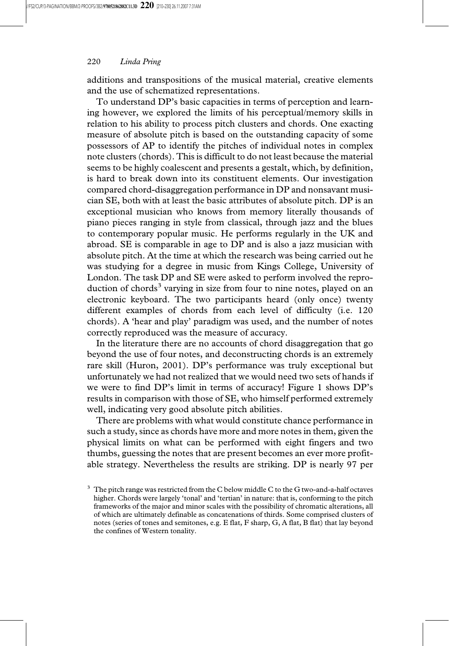additions and transpositions of the musical material, creative elements and the use of schematized representations.

To understand DP's basic capacities in terms of perception and learning however, we explored the limits of his perceptual/memory skills in relation to his ability to process pitch clusters and chords. One exacting measure of absolute pitch is based on the outstanding capacity of some possessors of AP to identify the pitches of individual notes in complex note clusters (chords). This is difficult to do not least because the material seems to be highly coalescent and presents a gestalt, which, by definition, is hard to break down into its constituent elements. Our investigation compared chord-disaggregation performance in DP and nonsavant musician SE, both with at least the basic attributes of absolute pitch. DP is an exceptional musician who knows from memory literally thousands of piano pieces ranging in style from classical, through jazz and the blues to contemporary popular music. He performs regularly in the UK and abroad. SE is comparable in age to DP and is also a jazz musician with absolute pitch. At the time at which the research was being carried out he was studying for a degree in music from Kings College, University of London. The task DP and SE were asked to perform involved the reproduction of chords $3$  varying in size from four to nine notes, played on an electronic keyboard. The two participants heard (only once) twenty different examples of chords from each level of difficulty (i.e. 120 chords). A 'hear and play' paradigm was used, and the number of notes correctly reproduced was the measure of accuracy.

In the literature there are no accounts of chord disaggregation that go beyond the use of four notes, and deconstructing chords is an extremely rare skill (Huron, 2001). DP's performance was truly exceptional but unfortunately we had not realized that we would need two sets of hands if we were to find DP's limit in terms of accuracy! Figure 1 shows DP's results in comparison with those of SE, who himself performed extremely well, indicating very good absolute pitch abilities.

There are problems with what would constitute chance performance in such a study, since as chords have more and more notes in them, given the physical limits on what can be performed with eight fingers and two thumbs, guessing the notes that are present becomes an ever more profitable strategy. Nevertheless the results are striking. DP is nearly 97 per

<sup>3</sup> The pitch range was restricted from the C below middle C to the G two-and-a-half octaves higher. Chords were largely 'tonal' and 'tertian' in nature: that is, conforming to the pitch frameworks of the major and minor scales with the possibility of chromatic alterations, all of which are ultimately definable as concatenations of thirds. Some comprised clusters of notes (series of tones and semitones, e.g. E flat, F sharp, G, A flat, B flat) that lay beyond the confines of Western tonality.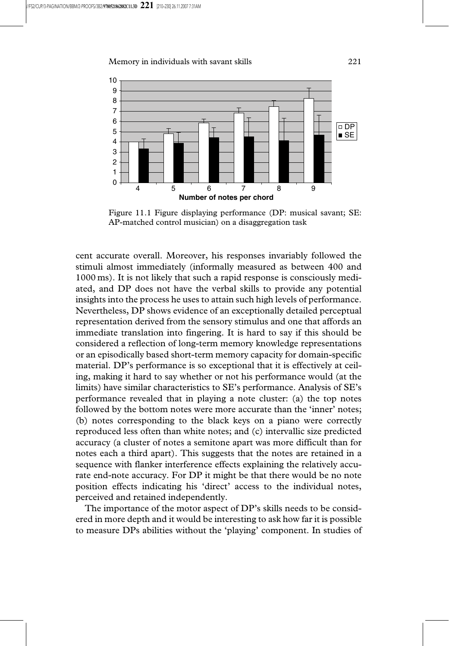



Figure 11.1 Figure displaying performance (DP: musical savant; SE: AP-matched control musician) on a disaggregation task

cent accurate overall. Moreover, his responses invariably followed the stimuli almost immediately (informally measured as between 400 and 1000 ms). It is not likely that such a rapid response is consciously mediated, and DP does not have the verbal skills to provide any potential insights into the process he uses to attain such high levels of performance. Nevertheless, DP shows evidence of an exceptionally detailed perceptual representation derived from the sensory stimulus and one that affords an immediate translation into fingering. It is hard to say if this should be considered a reflection of long-term memory knowledge representations or an episodically based short-term memory capacity for domain-specific material. DP's performance is so exceptional that it is effectively at ceiling, making it hard to say whether or not his performance would (at the limits) have similar characteristics to SE's performance. Analysis of SE's performance revealed that in playing a note cluster: (a) the top notes followed by the bottom notes were more accurate than the 'inner' notes; (b) notes corresponding to the black keys on a piano were correctly reproduced less often than white notes; and (c) intervallic size predicted accuracy (a cluster of notes a semitone apart was more difficult than for notes each a third apart). This suggests that the notes are retained in a sequence with flanker interference effects explaining the relatively accurate end-note accuracy. For DP it might be that there would be no note position effects indicating his 'direct' access to the individual notes, perceived and retained independently.

The importance of the motor aspect of DP's skills needs to be considered in more depth and it would be interesting to ask how far it is possible to measure DPs abilities without the 'playing' component. In studies of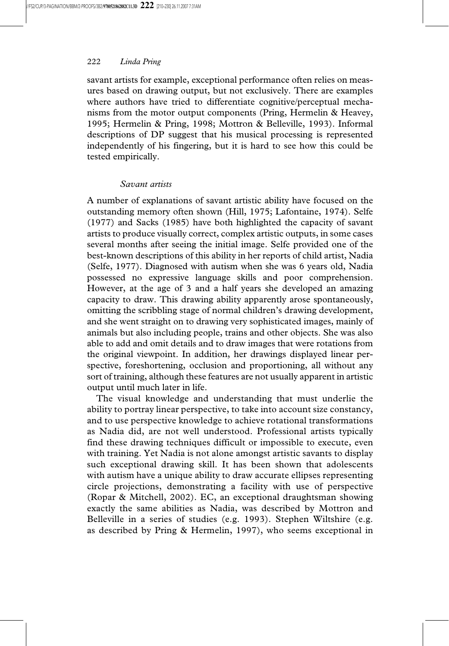savant artists for example, exceptional performance often relies on measures based on drawing output, but not exclusively. There are examples where authors have tried to differentiate cognitive/perceptual mechanisms from the motor output components (Pring, Hermelin & Heavey, 1995; Hermelin & Pring, 1998; Mottron & Belleville, 1993). Informal descriptions of DP suggest that his musical processing is represented independently of his fingering, but it is hard to see how this could be tested empirically.

# Savant artists

A number of explanations of savant artistic ability have focused on the outstanding memory often shown (Hill, 1975; Lafontaine, 1974). Selfe (1977) and Sacks (1985) have both highlighted the capacity of savant artists to produce visually correct, complex artistic outputs, in some cases several months after seeing the initial image. Selfe provided one of the best-known descriptions of this ability in her reports of child artist, Nadia (Selfe, 1977). Diagnosed with autism when she was 6 years old, Nadia possessed no expressive language skills and poor comprehension. However, at the age of 3 and a half years she developed an amazing capacity to draw. This drawing ability apparently arose spontaneously, omitting the scribbling stage of normal children's drawing development, and she went straight on to drawing very sophisticated images, mainly of animals but also including people, trains and other objects. She was also able to add and omit details and to draw images that were rotations from the original viewpoint. In addition, her drawings displayed linear perspective, foreshortening, occlusion and proportioning, all without any sort of training, although these features are not usually apparent in artistic output until much later in life.

The visual knowledge and understanding that must underlie the ability to portray linear perspective, to take into account size constancy, and to use perspective knowledge to achieve rotational transformations as Nadia did, are not well understood. Professional artists typically find these drawing techniques difficult or impossible to execute, even with training. Yet Nadia is not alone amongst artistic savants to display such exceptional drawing skill. It has been shown that adolescents with autism have a unique ability to draw accurate ellipses representing circle projections, demonstrating a facility with use of perspective (Ropar & Mitchell, 2002). EC, an exceptional draughtsman showing exactly the same abilities as Nadia, was described by Mottron and Belleville in a series of studies (e.g. 1993). Stephen Wiltshire (e.g. as described by Pring & Hermelin, 1997), who seems exceptional in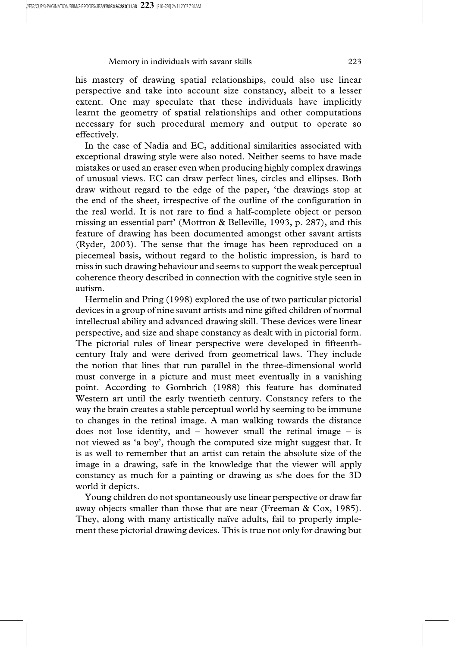his mastery of drawing spatial relationships, could also use linear perspective and take into account size constancy, albeit to a lesser extent. One may speculate that these individuals have implicitly learnt the geometry of spatial relationships and other computations necessary for such procedural memory and output to operate so effectively.

In the case of Nadia and EC, additional similarities associated with exceptional drawing style were also noted. Neither seems to have made mistakes or used an eraser even when producing highly complex drawings of unusual views. EC can draw perfect lines, circles and ellipses. Both draw without regard to the edge of the paper, 'the drawings stop at the end of the sheet, irrespective of the outline of the configuration in the real world. It is not rare to find a half-complete object or person missing an essential part' (Mottron & Belleville, 1993, p. 287), and this feature of drawing has been documented amongst other savant artists (Ryder, 2003). The sense that the image has been reproduced on a piecemeal basis, without regard to the holistic impression, is hard to miss in such drawing behaviour and seems to support the weak perceptual coherence theory described in connection with the cognitive style seen in autism.

Hermelin and Pring (1998) explored the use of two particular pictorial devices in a group of nine savant artists and nine gifted children of normal intellectual ability and advanced drawing skill. These devices were linear perspective, and size and shape constancy as dealt with in pictorial form. The pictorial rules of linear perspective were developed in fifteenthcentury Italy and were derived from geometrical laws. They include the notion that lines that run parallel in the three-dimensional world must converge in a picture and must meet eventually in a vanishing point. According to Gombrich (1988) this feature has dominated Western art until the early twentieth century. Constancy refers to the way the brain creates a stable perceptual world by seeming to be immune to changes in the retinal image. A man walking towards the distance does not lose identity, and – however small the retinal image – is not viewed as 'a boy', though the computed size might suggest that. It is as well to remember that an artist can retain the absolute size of the image in a drawing, safe in the knowledge that the viewer will apply constancy as much for a painting or drawing as s/he does for the 3D world it depicts.

Young children do not spontaneously use linear perspective or draw far away objects smaller than those that are near (Freeman & Cox, 1985). They, along with many artistically naïve adults, fail to properly implement these pictorial drawing devices. This is true not only for drawing but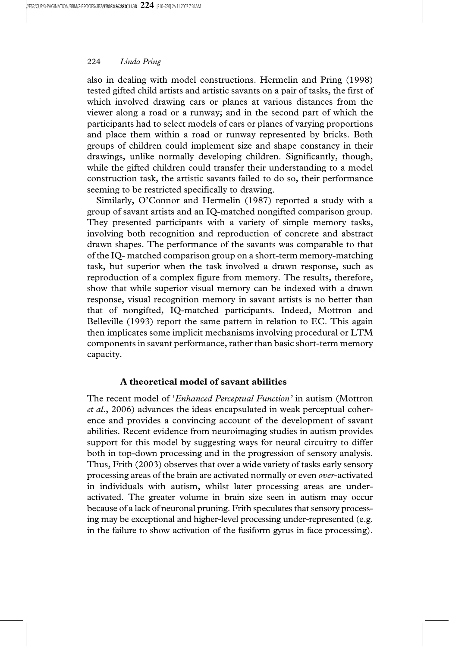also in dealing with model constructions. Hermelin and Pring (1998) tested gifted child artists and artistic savants on a pair of tasks, the first of which involved drawing cars or planes at various distances from the viewer along a road or a runway; and in the second part of which the participants had to select models of cars or planes of varying proportions and place them within a road or runway represented by bricks. Both groups of children could implement size and shape constancy in their drawings, unlike normally developing children. Significantly, though, while the gifted children could transfer their understanding to a model construction task, the artistic savants failed to do so, their performance seeming to be restricted specifically to drawing.

Similarly, O'Connor and Hermelin (1987) reported a study with a group of savant artists and an IQ-matched nongifted comparison group. They presented participants with a variety of simple memory tasks, involving both recognition and reproduction of concrete and abstract drawn shapes. The performance of the savants was comparable to that of the IQ- matched comparison group on a short-term memory-matching task, but superior when the task involved a drawn response, such as reproduction of a complex figure from memory. The results, therefore, show that while superior visual memory can be indexed with a drawn response, visual recognition memory in savant artists is no better than that of nongifted, IQ-matched participants. Indeed, Mottron and Belleville (1993) report the same pattern in relation to EC. This again then implicates some implicit mechanisms involving procedural or LTM components in savant performance, rather than basic short-term memory capacity.

# A theoretical model of savant abilities

The recent model of 'Enhanced Perceptual Function' in autism (Mottron et al., 2006) advances the ideas encapsulated in weak perceptual coherence and provides a convincing account of the development of savant abilities. Recent evidence from neuroimaging studies in autism provides support for this model by suggesting ways for neural circuitry to differ both in top-down processing and in the progression of sensory analysis. Thus, Frith (2003) observes that over a wide variety of tasks early sensory processing areas of the brain are activated normally or even over-activated in individuals with autism, whilst later processing areas are underactivated. The greater volume in brain size seen in autism may occur because of a lack of neuronal pruning. Frith speculates that sensory processing may be exceptional and higher-level processing under-represented (e.g. in the failure to show activation of the fusiform gyrus in face processing).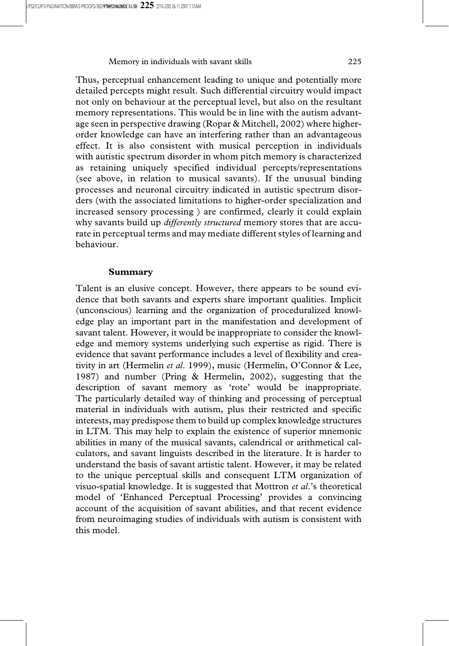Thus, perceptual enhancement leading to unique and potentially more detailed percepts might result. Such differential circuitry would impact not only on behaviour at the perceptual level, but also on the resultant memory representations. This would be in line with the autism advantage seen in perspective drawing (Ropar & Mitchell, 2002) where higherorder knowledge can have an interfering rather than an advantageous effect. It is also consistent with musical perception in individuals with autistic spectrum disorder in whom pitch memory is characterized as retaining uniquely specified individual percepts/representations (see above, in relation to musical savants). If the unusual binding processes and neuronal circuitry indicated in autistic spectrum disorders (with the associated limitations to higher-order specialization and increased sensory processing ) are confirmed, clearly it could explain why savants build up *differently structured* memory stores that are accurate in perceptual terms and may mediate different styles of learning and behaviour.

#### Summary

Talent is an elusive concept. However, there appears to be sound evidence that both savants and experts share important qualities. Implicit (unconscious) learning and the organization of proceduralized knowledge play an important part in the manifestation and development of savant talent. However, it would be inappropriate to consider the knowledge and memory systems underlying such expertise as rigid. There is evidence that savant performance includes a level of flexibility and creativity in art (Hermelin et al. 1999), music (Hermelin, O'Connor & Lee, 1987) and number (Pring & Hermelin, 2002), suggesting that the description of savant memory as 'rote' would be inappropriate. The particularly detailed way of thinking and processing of perceptual material in individuals with autism, plus their restricted and specific interests, may predispose them to build up complex knowledge structures in LTM. This may help to explain the existence of superior mnemonic abilities in many of the musical savants, calendrical or arithmetical calculators, and savant linguists described in the literature. It is harder to understand the basis of savant artistic talent. However, it may be related to the unique perceptual skills and consequent LTM organization of visuo-spatial knowledge. It is suggested that Mottron et al.'s theoretical model of 'Enhanced Perceptual Processing' provides a convincing account of the acquisition of savant abilities, and that recent evidence from neuroimaging studies of individuals with autism is consistent with this model.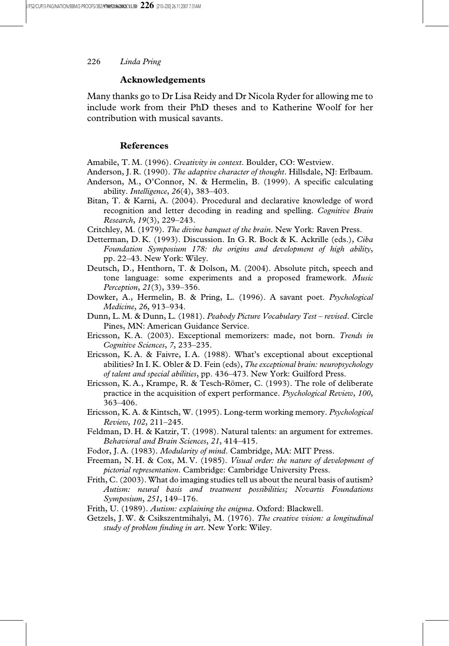# Acknowledgements

Many thanks go to Dr Lisa Reidy and Dr Nicola Ryder for allowing me to include work from their PhD theses and to Katherine Woolf for her contribution with musical savants.

#### References

Amabile, T. M. (1996). Creativity in context. Boulder, CO: Westview.

- Anderson, J. R. (1990). The adaptive character of thought. Hillsdale, NJ: Erlbaum.
- Anderson, M., O'Connor, N. & Hermelin, B. (1999). A specific calculating ability. Intelligence, 26(4), 383–403.
- Bitan, T. & Karni, A. (2004). Procedural and declarative knowledge of word recognition and letter decoding in reading and spelling. Cognitive Brain Research, 19(3), 229–243.
- Critchley, M. (1979). The divine banquet of the brain. New York: Raven Press.
- Detterman, D. K. (1993). Discussion. In G. R. Bock & K. Ackrille (eds.), Ciba Foundation Symposium 178: the origins and development of high ability, pp. 22–43. New York: Wiley.
- Deutsch, D., Henthorn, T. & Dolson, M. (2004). Absolute pitch, speech and tone language: some experiments and a proposed framework. Music Perception, 21(3), 339–356.
- Dowker, A., Hermelin, B. & Pring, L. (1996). A savant poet. Psychological Medicine, 26, 913–934.
- Dunn, L. M. & Dunn, L. (1981). Peabody Picture Vocabulary Test revised. Circle Pines, MN: American Guidance Service.
- Ericsson, K. A. (2003). Exceptional memorizers: made, not born. Trends in Cognitive Sciences, 7, 233–235.
- Ericsson, K. A. & Faivre, I. A. (1988). What's exceptional about exceptional abilities? In I. K. Obler & D. Fein (eds), The exceptional brain: neuropsychology of talent and special abilities, pp. 436–473. New York: Guilford Press.
- Ericsson, K. A., Krampe, R. & Tesch-Römer, C. (1993). The role of deliberate practice in the acquisition of expert performance. Psychological Review, 100, 363–406.
- Ericsson, K. A. & Kintsch, W. (1995). Long-term working memory. Psychological Review, 102, 211–245.
- Feldman, D. H. & Katzir, T. (1998). Natural talents: an argument for extremes. Behavioral and Brain Sciences, 21, 414–415.
- Fodor, J. A. (1983). Modularity of mind. Cambridge, MA: MIT Press.
- Freeman, N. H. & Cox, M. V. (1985). Visual order: the nature of development of pictorial representation. Cambridge: Cambridge University Press.
- Frith, C. (2003). What do imaging studies tell us about the neural basis of autism? Autism: neural basis and treatment possibilities; Novartis Foundations Symposium, 251, 149–176.
- Frith, U. (1989). Autism: explaining the enigma. Oxford: Blackwell.
- Getzels, J. W. & Csikszentmihalyi, M. (1976). The creative vision: a longitudinal study of problem finding in art. New York: Wiley.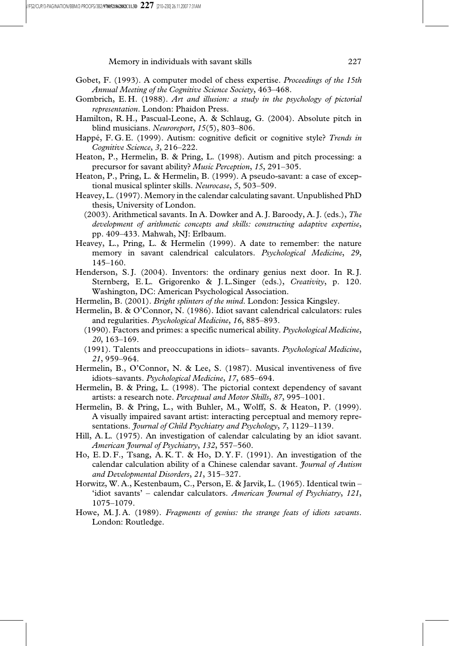- Gobet, F. (1993). A computer model of chess expertise. *Proceedings of the 15th* Annual Meeting of the Cognitive Science Society, 463–468.
- Gombrich, E. H. (1988). Art and illusion: a study in the psychology of pictorial representation. London: Phaidon Press.
- Hamilton, R. H., Pascual-Leone, A. & Schlaug, G. (2004). Absolute pitch in blind musicians. Neuroreport, 15(5), 803–806.
- Happé, F. G. E. (1999). Autism: cognitive deficit or cognitive style? Trends in Cognitive Science, 3, 216–222.
- Heaton, P., Hermelin, B. & Pring, L. (1998). Autism and pitch processing: a precursor for savant ability? Music Perception, 15, 291–305.
- Heaton, P., Pring, L. & Hermelin, B. (1999). A pseudo-savant: a case of exceptional musical splinter skills. Neurocase, 5, 503–509.
- Heavey, L. (1997). Memory in the calendar calculating savant. Unpublished PhD thesis, University of London.
- (2003). Arithmetical savants. In A. Dowker and A. J. Baroody, A. J. (eds.), The development of arithmetic concepts and skills: constructing adaptive expertise, pp. 409–433. Mahwah, NJ: Erlbaum.
- Heavey, L., Pring, L. & Hermelin (1999). A date to remember: the nature memory in savant calendrical calculators. Psychological Medicine, 29, 145–160.
- Henderson, S.J. (2004). Inventors: the ordinary genius next door. In R.J. Sternberg, E.L. Grigorenko & J.L.Singer (eds.), Creativity, p. 120. Washington, DC: American Psychological Association.
- Hermelin, B. (2001). *Bright splinters of the mind*. London: Jessica Kingsley.
- Hermelin, B. & O'Connor, N. (1986). Idiot savant calendrical calculators: rules and regularities. Psychological Medicine, 16, 885–893.
	- (1990). Factors and primes: a specific numerical ability. Psychological Medicine, 20, 163–169.
- (1991). Talents and preoccupations in idiots– savants. Psychological Medicine, 21, 959–964.
- Hermelin, B., O'Connor, N. & Lee, S. (1987). Musical inventiveness of five idiots–savants. Psychological Medicine, 17, 685–694.
- Hermelin, B. & Pring, L. (1998). The pictorial context dependency of savant artists: a research note. Perceptual and Motor Skills, 87, 995–1001.
- Hermelin, B. & Pring, L., with Buhler, M., Wolff, S. & Heaton, P. (1999). A visually impaired savant artist: interacting perceptual and memory representations. Journal of Child Psychiatry and Psychology, 7, 1129-1139.
- Hill, A. L. (1975). An investigation of calendar calculating by an idiot savant. American Journal of Psychiatry, 132, 557–560.
- Ho, E. D. F., Tsang, A. K. T. & Ho, D. Y. F. (1991). An investigation of the calendar calculation ability of a Chinese calendar savant. *Journal of Autism* and Developmental Disorders, 21, 315–327.
- Horwitz, W. A., Kestenbaum, C., Person, E. & Jarvik, L. (1965). Identical twin 'idiot savants' – calendar calculators. American Journal of Psychiatry, 121, 1075–1079.
- Howe, M.J.A. (1989). Fragments of genius: the strange feats of idiots savants. London: Routledge.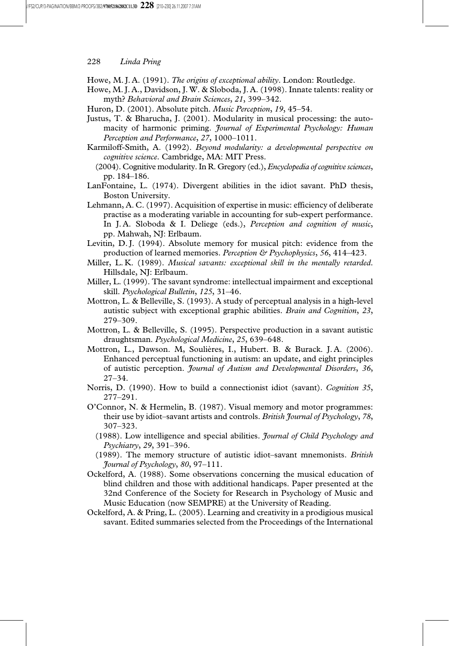Howe, M. J. A. (1991). The origins of exceptional ability. London: Routledge.

- Howe, M. J. A., Davidson, J. W. & Sloboda, J. A. (1998). Innate talents: reality or myth? Behavioral and Brain Sciences, 21, 399–342.
- Huron, D. (2001). Absolute pitch. Music Perception, 19, 45-54.
- Justus, T. & Bharucha, J. (2001). Modularity in musical processing: the automacity of harmonic priming. Journal of Experimental Psychology: Human Perception and Performance, 27, 1000–1011.
- Karmiloff-Smith, A. (1992). Beyond modularity: a developmental perspective on cognitive science. Cambridge, MA: MIT Press.
	- (2004). Cognitive modularity. In R. Gregory (ed.), Encyclopedia of cognitive sciences, pp. 184–186.
- LanFontaine, L. (1974). Divergent abilities in the idiot savant. PhD thesis, Boston University.
- Lehmann, A. C. (1997). Acquisition of expertise in music: efficiency of deliberate practise as a moderating variable in accounting for sub-expert performance. In J.A. Sloboda & I. Deliege (eds.), Perception and cognition of music, pp. Mahwah, NJ: Erlbaum.
- Levitin, D. J. (1994). Absolute memory for musical pitch: evidence from the production of learned memories. Perception & Psychophysics, 56, 414–423.
- Miller, L. K. (1989). Musical savants: exceptional skill in the mentally retarded. Hillsdale, NJ: Erlbaum.
- Miller, L. (1999). The savant syndrome: intellectual impairment and exceptional skill. Psychological Bulletin, 125, 31–46.
- Mottron, L. & Belleville, S. (1993). A study of perceptual analysis in a high-level autistic subject with exceptional graphic abilities. Brain and Cognition, 23, 279–309.
- Mottron, L. & Belleville, S. (1995). Perspective production in a savant autistic draughtsman. Psychological Medicine, 25, 639–648.
- Mottron, L., Dawson. M, Soulières, I., Hubert. B. & Burack. J.A. (2006). Enhanced perceptual functioning in autism: an update, and eight principles of autistic perception. Journal of Autism and Developmental Disorders, 36, 27–34.
- Norris, D. (1990). How to build a connectionist idiot (savant). Cognition 35, 277–291.
- O'Connor, N. & Hermelin, B. (1987). Visual memory and motor programmes: their use by idiot–savant artists and controls. British Journal of Psychology, 78, 307–323.
	- (1988). Low intelligence and special abilities. *Journal of Child Psychology and* Psychiatry, 29, 391–396.
	- (1989). The memory structure of autistic idiot–savant mnemonists. British Journal of Psychology, 80, 97–111.
- Ockelford, A. (1988). Some observations concerning the musical education of blind children and those with additional handicaps. Paper presented at the 32nd Conference of the Society for Research in Psychology of Music and Music Education (now SEMPRE) at the University of Reading.
- Ockelford, A. & Pring, L. (2005). Learning and creativity in a prodigious musical savant. Edited summaries selected from the Proceedings of the International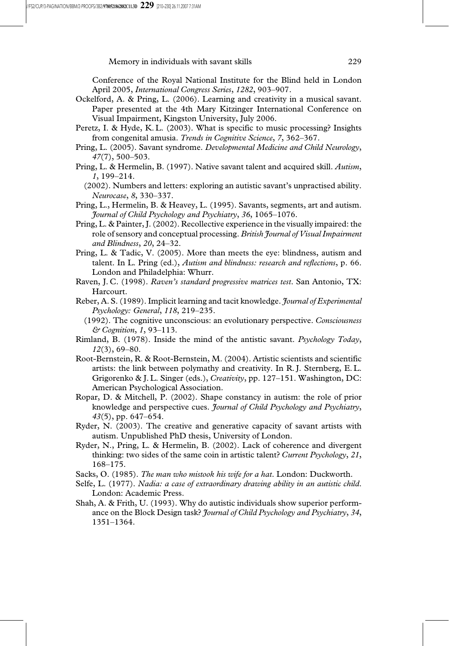Conference of the Royal National Institute for the Blind held in London April 2005, International Congress Series, 1282, 903–907.

- Ockelford, A. & Pring, L. (2006). Learning and creativity in a musical savant. Paper presented at the 4th Mary Kitzinger International Conference on Visual Impairment, Kingston University, July 2006.
- Peretz, I. & Hyde, K. L. (2003). What is specific to music processing? Insights from congenital amusia. Trends in Cognitive Science, 7, 362–367.
- Pring, L. (2005). Savant syndrome. Developmental Medicine and Child Neurology, 47(7), 500–503.
- Pring, L. & Hermelin, B. (1997). Native savant talent and acquired skill. Autism, 1, 199–214.
	- (2002). Numbers and letters: exploring an autistic savant's unpractised ability. Neurocase, 8, 330–337.
- Pring, L., Hermelin, B. & Heavey, L. (1995). Savants, segments, art and autism. Journal of Child Psychology and Psychiatry, 36, 1065–1076.
- Pring, L. & Painter, J. (2002). Recollective experience in the visually impaired: the role of sensory and conceptual processing. British *Journal of Visual Impairment* and Blindness, 20, 24–32.
- Pring, L. & Tadic, V. (2005). More than meets the eye: blindness, autism and talent. In L. Pring (ed.), Autism and blindness: research and reflections, p. 66. London and Philadelphia: Whurr.
- Raven, J. C. (1998). Raven's standard progressive matrices test. San Antonio, TX: Harcourt.
- Reber, A. S. (1989). Implicit learning and tacit knowledge. *Journal of Experimental* Psychology: General, 118, 219–235.
- (1992). The cognitive unconscious: an evolutionary perspective. Consciousness & Cognition, 1, 93–113.
- Rimland, B. (1978). Inside the mind of the antistic savant. Psychology Today, 12(3), 69–80.
- Root-Bernstein, R. & Root-Bernstein, M. (2004). Artistic scientists and scientific artists: the link between polymathy and creativity. In R. J. Sternberg, E. L. Grigorenko & J. L. Singer (eds.), Creativity, pp. 127–151. Washington, DC: American Psychological Association.
- Ropar, D. & Mitchell, P. (2002). Shape constancy in autism: the role of prior knowledge and perspective cues. Journal of Child Psychology and Psychiatry, 43(5), pp. 647–654.
- Ryder, N. (2003). The creative and generative capacity of savant artists with autism. Unpublished PhD thesis, University of London.
- Ryder, N., Pring, L. & Hermelin, B. (2002). Lack of coherence and divergent thinking: two sides of the same coin in artistic talent? Current Psychology, 21, 168–175.
- Sacks, O. (1985). The man who mistook his wife for a hat. London: Duckworth.
- Selfe, L. (1977). Nadia: a case of extraordinary drawing ability in an autistic child. London: Academic Press.
- Shah, A. & Frith, U. (1993). Why do autistic individuals show superior performance on the Block Design task? *Journal of Child Psychology and Psychiatry*, 34, 1351–1364.